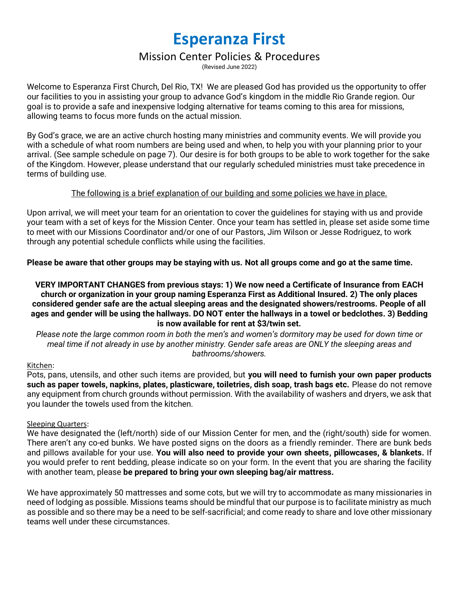# **Esperanza First**

# Mission Center Policies & Procedures

(Revised June 2022)

Welcome to Esperanza First Church, Del Rio, TX! We are pleased God has provided us the opportunity to offer our facilities to you in assisting your group to advance God's kingdom in the middle Rio Grande region. Our goal is to provide a safe and inexpensive lodging alternative for teams coming to this area for missions, allowing teams to focus more funds on the actual mission.

By God's grace, we are an active church hosting many ministries and community events. We will provide you with a schedule of what room numbers are being used and when, to help you with your planning prior to your arrival. (See sample schedule on page 7). Our desire is for both groups to be able to work together for the sake of the Kingdom. However, please understand that our regularly scheduled ministries must take precedence in terms of building use.

# The following is a brief explanation of our building and some policies we have in place.

Upon arrival, we will meet your team for an orientation to cover the guidelines for staying with us and provide your team with a set of keys for the Mission Center. Once your team has settled in, please set aside some time to meet with our Missions Coordinator and/or one of our Pastors, Jim Wilson or Jesse Rodriguez, to work through any potential schedule conflicts while using the facilities.

**Please be aware that other groups may be staying with us. Not all groups come and go at the same time.**

#### **VERY IMPORTANT CHANGES from previous stays: 1) We now need a Certificate of Insurance from EACH church or organization in your group naming Esperanza First as Additional Insured. 2) The only places considered gender safe are the actual sleeping areas and the designated showers/restrooms. People of all ages and gender will be using the hallways. DO NOT enter the hallways in a towel or bedclothes. 3) Bedding is now available for rent at \$3/twin set.**

*Please note the large common room in both the men's and women's dormitory may be used for down time or meal time if not already in use by another ministry. Gender safe areas are ONLY the sleeping areas and bathrooms/showers.*

# Kitchen:

Pots, pans, utensils, and other such items are provided, but **you will need to furnish your own paper products such as paper towels, napkins, plates, plasticware, toiletries, dish soap, trash bags etc.** Please do not remove any equipment from church grounds without permission. With the availability of washers and dryers, we ask that you launder the towels used from the kitchen.

#### Sleeping Quarters:

We have designated the (left/north) side of our Mission Center for men, and the (right/south) side for women. There aren't any co-ed bunks. We have posted signs on the doors as a friendly reminder. There are bunk beds and pillows available for your use. **You will also need to provide your own sheets, pillowcases, & blankets.** If you would prefer to rent bedding, please indicate so on your form. In the event that you are sharing the facility with another team, please **be prepared to bring your own sleeping bag/air mattress.**

We have approximately 50 mattresses and some cots, but we will try to accommodate as many missionaries in need of lodging as possible. Missions teams should be mindful that our purpose is to facilitate ministry as much as possible and so there may be a need to be self-sacrificial; and come ready to share and love other missionary teams well under these circumstances.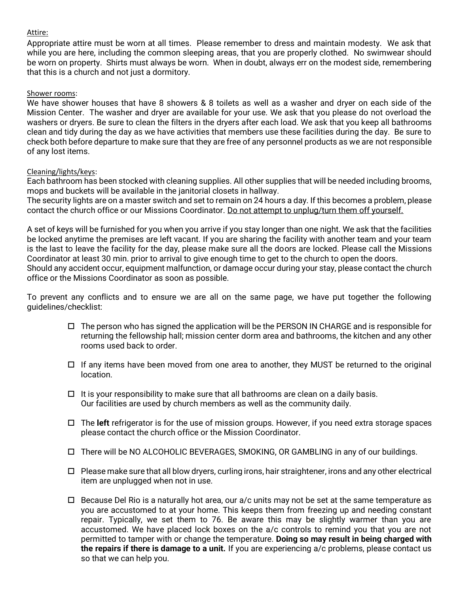# Attire:

Appropriate attire must be worn at all times. Please remember to dress and maintain modesty. We ask that while you are here, including the common sleeping areas, that you are properly clothed. No swimwear should be worn on property. Shirts must always be worn. When in doubt, always err on the modest side, remembering that this is a church and not just a dormitory.

#### Shower rooms:

We have shower houses that have 8 showers & 8 toilets as well as a washer and dryer on each side of the Mission Center. The washer and dryer are available for your use. We ask that you please do not overload the washers or dryers. Be sure to clean the filters in the dryers after each load. We ask that you keep all bathrooms clean and tidy during the day as we have activities that members use these facilities during the day. Be sure to check both before departure to make sure that they are free of any personnel products as we are not responsible of any lost items.

#### Cleaning/lights/keys:

Each bathroom has been stocked with cleaning supplies. All other supplies that will be needed including brooms, mops and buckets will be available in the janitorial closets in hallway.

The security lights are on a master switch and set to remain on 24 hours a day. If this becomes a problem, please contact the church office or our Missions Coordinator. Do not attempt to unplug/turn them off yourself.

A set of keys will be furnished for you when you arrive if you stay longer than one night. We ask that the facilities be locked anytime the premises are left vacant. If you are sharing the facility with another team and your team is the last to leave the facility for the day, please make sure all the doors are locked. Please call the Missions Coordinator at least 30 min. prior to arrival to give enough time to get to the church to open the doors. Should any accident occur, equipment malfunction, or damage occur during your stay, please contact the church office or the Missions Coordinator as soon as possible.

To prevent any conflicts and to ensure we are all on the same page, we have put together the following guidelines/checklist:

- $\Box$  The person who has signed the application will be the PERSON IN CHARGE and is responsible for returning the fellowship hall; mission center dorm area and bathrooms, the kitchen and any other rooms used back to order.
- $\Box$  If any items have been moved from one area to another, they MUST be returned to the original location.
- $\Box$  It is your responsibility to make sure that all bathrooms are clean on a daily basis. Our facilities are used by church members as well as the community daily.
- The **left** refrigerator is for the use of mission groups. However, if you need extra storage spaces please contact the church office or the Mission Coordinator.
- There will be NO ALCOHOLIC BEVERAGES, SMOKING, OR GAMBLING in any of our buildings.
- $\Box$  Please make sure that all blow dryers, curling irons, hair straightener, irons and any other electrical item are unplugged when not in use.
- $\Box$  Because Del Rio is a naturally hot area, our a/c units may not be set at the same temperature as you are accustomed to at your home. This keeps them from freezing up and needing constant repair. Typically, we set them to 76. Be aware this may be slightly warmer than you are accustomed. We have placed lock boxes on the a/c controls to remind you that you are not permitted to tamper with or change the temperature. **Doing so may result in being charged with the repairs if there is damage to a unit.** If you are experiencing a/c problems, please contact us so that we can help you.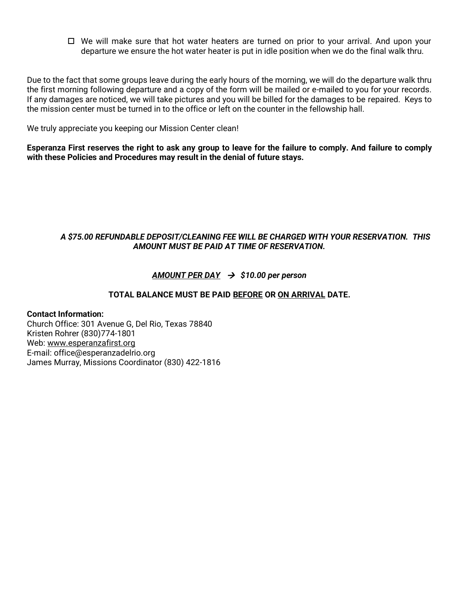$\Box$  We will make sure that hot water heaters are turned on prior to your arrival. And upon your departure we ensure the hot water heater is put in idle position when we do the final walk thru.

Due to the fact that some groups leave during the early hours of the morning, we will do the departure walk thru the first morning following departure and a copy of the form will be mailed or e-mailed to you for your records. If any damages are noticed, we will take pictures and you will be billed for the damages to be repaired. Keys to the mission center must be turned in to the office or left on the counter in the fellowship hall.

We truly appreciate you keeping our Mission Center clean!

**Esperanza First reserves the right to ask any group to leave for the failure to comply. And failure to comply with these Policies and Procedures may result in the denial of future stays.**

# *A \$75.00 REFUNDABLE DEPOSIT/CLEANING FEE WILL BE CHARGED WITH YOUR RESERVATION. THIS AMOUNT MUST BE PAID AT TIME OF RESERVATION.*

# *AMOUNT PER DAY* → *\$10.00 per person*

# **TOTAL BALANCE MUST BE PAID BEFORE OR ON ARRIVAL DATE.**

# **Contact Information:**

Church Office: 301 Avenue G, Del Rio, Texas 78840 Kristen Rohrer (830)774-1801 Web: www.esperanzafirst.org E-mail: office@esperanzadelrio.org James Murray, Missions Coordinator (830) 422-1816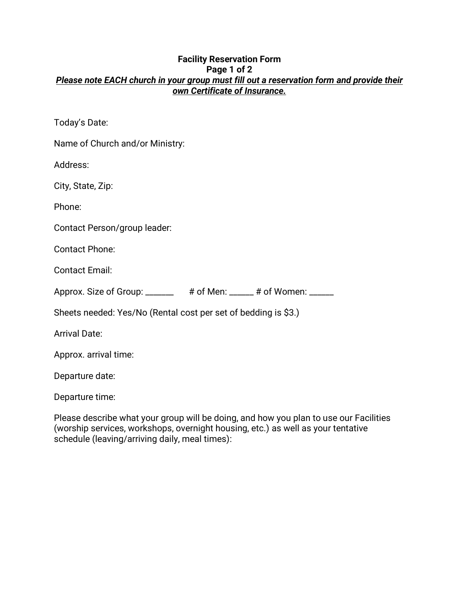# **Facility Reservation Form Page 1 of 2** *Please note EACH church in your group must fill out a reservation form and provide their own Certificate of Insurance.*

Today's Date:

| Name of Church and/or Ministry:                                |  |  |
|----------------------------------------------------------------|--|--|
| Address:                                                       |  |  |
| City, State, Zip:                                              |  |  |
| Phone:                                                         |  |  |
| Contact Person/group leader:                                   |  |  |
| <b>Contact Phone:</b>                                          |  |  |
| <b>Contact Email:</b>                                          |  |  |
| Approx. Size of Group: _______ # of Men: _____# of Women: __   |  |  |
| Sheets needed: Yes/No (Rental cost per set of bedding is \$3.) |  |  |
| <b>Arrival Date:</b>                                           |  |  |
| Approx. arrival time:                                          |  |  |
|                                                                |  |  |

Departure date:

Departure time:

Please describe what your group will be doing, and how you plan to use our Facilities (worship services, workshops, overnight housing, etc.) as well as your tentative schedule (leaving/arriving daily, meal times):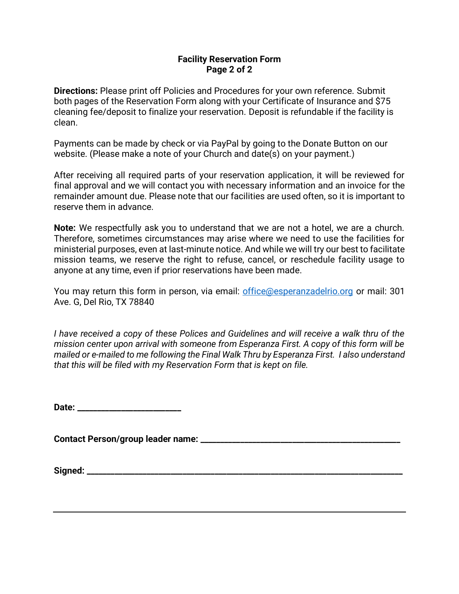# **Facility Reservation Form Page 2 of 2**

**Directions:** Please print off Policies and Procedures for your own reference. Submit both pages of the Reservation Form along with your Certificate of Insurance and \$75 cleaning fee/deposit to finalize your reservation. Deposit is refundable if the facility is clean.

Payments can be made by check or via PayPal by going to the Donate Button on our website. (Please make a note of your Church and date(s) on your payment.)

After receiving all required parts of your reservation application, it will be reviewed for final approval and we will contact you with necessary information and an invoice for the remainder amount due. Please note that our facilities are used often, so it is important to reserve them in advance.

**Note:** We respectfully ask you to understand that we are not a hotel, we are a church. Therefore, sometimes circumstances may arise where we need to use the facilities for ministerial purposes, even at last-minute notice. And while we will try our best to facilitate mission teams, we reserve the right to refuse, cancel, or reschedule facility usage to anyone at any time, even if prior reservations have been made.

You may return this form in person, via email: [office@esperanzadelrio.org](mailto:office@esperanzadelrio.org) or mail: 301 Ave. G, Del Rio, TX 78840

*I have received a copy of these Polices and Guidelines and will receive a walk thru of the mission center upon arrival with someone from Esperanza First. A copy of this form will be mailed or e-mailed to me following the Final Walk Thru by Esperanza First. I also understand that this will be filed with my Reservation Form that is kept on file.* 

**Date: \_\_\_\_\_\_\_\_\_\_\_\_\_\_\_\_\_\_\_\_\_\_\_\_\_\_**

**Contact Person/group leader name: \_\_\_\_\_\_\_\_\_\_\_\_\_\_\_\_\_\_\_\_\_\_\_\_\_\_\_\_\_\_\_\_\_\_\_\_\_\_\_\_\_\_\_\_\_\_\_\_\_\_**

**Signed: \_\_\_\_\_\_\_\_\_\_\_\_\_\_\_\_\_\_\_\_\_\_\_\_\_\_\_\_\_\_\_\_\_\_\_\_\_\_\_\_\_\_\_\_\_\_\_\_\_\_\_\_\_\_\_\_\_\_\_\_\_\_\_\_\_\_\_\_\_\_\_\_\_\_\_\_\_\_\_**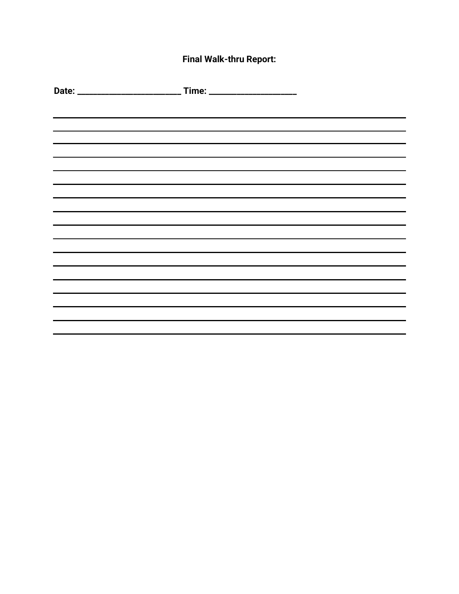# **Final Walk-thru Report:**

| and the control of the control of the control of the control of the control of the control of the control of the |  |
|------------------------------------------------------------------------------------------------------------------|--|
| ,我们也不会有什么?""我们的人,我们也不会有什么?""我们的人,我们也不会有什么?""我们的人,我们也不会有什么?""我们的人,我们也不会有什么?""我们的人                                 |  |
|                                                                                                                  |  |
|                                                                                                                  |  |
|                                                                                                                  |  |
|                                                                                                                  |  |
|                                                                                                                  |  |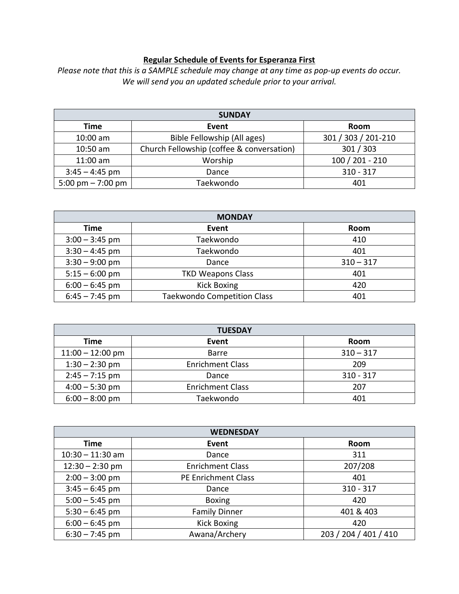# **Regular Schedule of Events for Esperanza First**

*Please note that this is a SAMPLE schedule may change at any time as pop-up events do occur. We will send you an updated schedule prior to your arrival.* 

| <b>SUNDAY</b>       |                                           |                     |
|---------------------|-------------------------------------------|---------------------|
| Time                | Event                                     | Room                |
| $10:00$ am          | Bible Fellowship (All ages)               | 301 / 303 / 201-210 |
| $10:50$ am          | Church Fellowship (coffee & conversation) | 301 / 303           |
| $11:00$ am          | Worship                                   | $100 / 201 - 210$   |
| $3:45 - 4:45$ pm    | Dance                                     | $310 - 317$         |
| 5:00 pm $- 7:00$ pm | Taekwondo                                 | 401                 |

| <b>MONDAY</b>    |                                    |             |
|------------------|------------------------------------|-------------|
| Time             | Event                              | Room        |
| $3:00 - 3:45$ pm | Taekwondo                          | 410         |
| $3:30 - 4:45$ pm | Taekwondo                          | 401         |
| $3:30 - 9:00$ pm | Dance                              | $310 - 317$ |
| $5:15 - 6:00$ pm | <b>TKD Weapons Class</b>           | 401         |
| $6:00 - 6:45$ pm | <b>Kick Boxing</b>                 | 420         |
| $6:45 - 7:45$ pm | <b>Taekwondo Competition Class</b> | 401         |

| <b>TUESDAY</b>     |                         |             |
|--------------------|-------------------------|-------------|
| Time               | Event                   | Room        |
| $11:00 - 12:00$ pm | <b>Barre</b>            | $310 - 317$ |
| $1:30 - 2:30$ pm   | <b>Enrichment Class</b> | 209         |
| $2:45 - 7:15$ pm   | Dance                   | $310 - 317$ |
| $4:00 - 5:30$ pm   | <b>Enrichment Class</b> | 207         |
| $6:00 - 8:00$ pm   | Taekwondo               | 401         |

| <b>WEDNESDAY</b>   |                            |                       |
|--------------------|----------------------------|-----------------------|
| <b>Time</b>        | Event                      | Room                  |
| $10:30 - 11:30$ am | Dance                      | 311                   |
| $12:30 - 2:30$ pm  | <b>Enrichment Class</b>    | 207/208               |
| $2:00 - 3:00$ pm   | <b>PE Enrichment Class</b> | 401                   |
| $3:45 - 6:45$ pm   | Dance                      | $310 - 317$           |
| $5:00 - 5:45$ pm   | <b>Boxing</b>              | 420                   |
| $5:30 - 6:45$ pm   | <b>Family Dinner</b>       | 401 & 403             |
| $6:00 - 6:45$ pm   | <b>Kick Boxing</b>         | 420                   |
| $6:30 - 7:45$ pm   | Awana/Archery              | 203 / 204 / 401 / 410 |